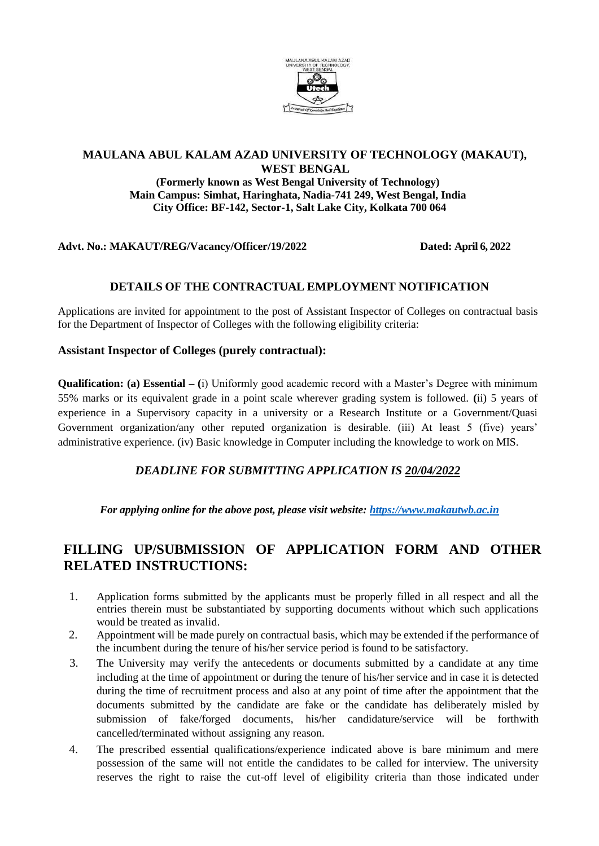

### **MAULANA ABUL KALAM AZAD UNIVERSITY OF TECHNOLOGY (MAKAUT), WEST BENGAL**

**(Formerly known as West Bengal University of Technology) Main Campus: Simhat, Haringhata, Nadia-741 249, West Bengal, India City Office: BF-142, Sector-1, Salt Lake City, Kolkata 700 064**

**Advt. No.: MAKAUT/REG/Vacancy/Officer/19/2022 Dated: April 6, 2022**

### **DETAILS OF THE CONTRACTUAL EMPLOYMENT NOTIFICATION**

Applications are invited for appointment to the post of Assistant Inspector of Colleges on contractual basis for the Department of Inspector of Colleges with the following eligibility criteria:

#### **Assistant Inspector of Colleges (purely contractual):**

**Qualification: (a) Essential – (**i) Uniformly good academic record with a Master's Degree with minimum 55% marks or its equivalent grade in a point scale wherever grading system is followed. **(**ii) 5 years of experience in a Supervisory capacity in a university or a Research Institute or a Government/Quasi Government organization/any other reputed organization is desirable. (iii) At least 5 (five) years' administrative experience. (iv) Basic knowledge in Computer including the knowledge to work on MIS.

## *DEADLINE FOR SUBMITTING APPLICATION IS 20/04/2022*

*For applying online for the above post, please visit website: [https://www.makautwb.ac.in](https://www.makautwb.ac.in/)*

# **FILLING UP/SUBMISSION OF APPLICATION FORM AND OTHER RELATED INSTRUCTIONS:**

- 1. Application forms submitted by the applicants must be properly filled in all respect and all the entries therein must be substantiated by supporting documents without which such applications would be treated as invalid.
- 2. Appointment will be made purely on contractual basis, which may be extended if the performance of the incumbent during the tenure of his/her service period is found to be satisfactory.
- 3. The University may verify the antecedents or documents submitted by a candidate at any time including at the time of appointment or during the tenure of his/her service and in case it is detected during the time of recruitment process and also at any point of time after the appointment that the documents submitted by the candidate are fake or the candidate has deliberately misled by submission of fake/forged documents, his/her candidature/service will be forthwith cancelled/terminated without assigning any reason.
- 4. The prescribed essential qualifications/experience indicated above is bare minimum and mere possession of the same will not entitle the candidates to be called for interview. The university reserves the right to raise the cut-off level of eligibility criteria than those indicated under